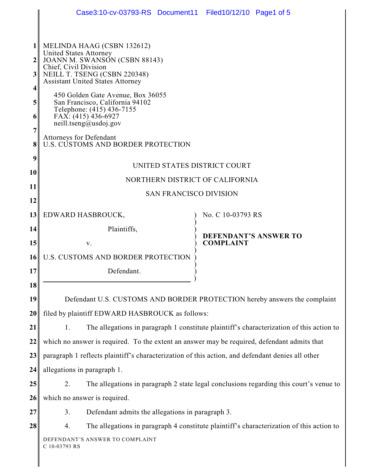|                | Case3:10-cv-03793-RS Document11 Filed10/12/10 Page1 of 5                                                                                          |                              |  |
|----------------|---------------------------------------------------------------------------------------------------------------------------------------------------|------------------------------|--|
|                |                                                                                                                                                   |                              |  |
|                | MELINDA HAAG (CSBN 132612)<br><b>United States Attorney</b>                                                                                       |                              |  |
| 2 <sub>1</sub> | JOANN M. SWANSON (CSBN 88143)<br>Chief, Civil Division<br>NEILL T. TSENG (CSBN 220348)<br><b>Assistant United States Attorney</b>                 |                              |  |
| 3 <sup>1</sup> |                                                                                                                                                   |                              |  |
| 4              |                                                                                                                                                   |                              |  |
| 5              | 450 Golden Gate Avenue, Box 36055<br>San Francisco, California 94102<br>Telephone: (415) 436-7155<br>FAX: (415) 436-6927<br>neill.tseng@usdoj.gov |                              |  |
| 6              |                                                                                                                                                   |                              |  |
| $\overline{7}$ |                                                                                                                                                   |                              |  |
| 8 <sup>1</sup> | <b>Attorneys for Defendant</b><br>U.S. CUSTOMS AND BORDER PROTECTION                                                                              |                              |  |
| 9              | UNITED STATES DISTRICT COURT                                                                                                                      |                              |  |
| 10             |                                                                                                                                                   |                              |  |
| 11             | NORTHERN DISTRICT OF CALIFORNIA                                                                                                                   |                              |  |
| 12             | <b>SAN FRANCISCO DIVISION</b>                                                                                                                     |                              |  |
| 13             | EDWARD HASBROUCK,                                                                                                                                 | No. C 10-03793 RS            |  |
| 14             | Plaintiffs,                                                                                                                                       | <b>DEFENDANT'S ANSWER TO</b> |  |
| 15             | V.                                                                                                                                                | <b>COMPLAINT</b>             |  |
| 16             | U.S. CUSTOMS AND BORDER PROTECTION                                                                                                                |                              |  |
| 17             | Defendant.                                                                                                                                        |                              |  |
| 18             |                                                                                                                                                   |                              |  |
| 19             | Defendant U.S. CUSTOMS AND BORDER PROTECTION hereby answers the complaint                                                                         |                              |  |
| 20             | filed by plaintiff EDWARD HASBROUCK as follows:                                                                                                   |                              |  |
| 21             | The allegations in paragraph 1 constitute plaintiff's characterization of this action to<br>1.                                                    |                              |  |
| 22             | which no answer is required. To the extent an answer may be required, defendant admits that                                                       |                              |  |
| 23             | paragraph 1 reflects plaintiff's characterization of this action, and defendant denies all other                                                  |                              |  |
| 24             | allegations in paragraph 1.                                                                                                                       |                              |  |
| 25             | The allegations in paragraph 2 state legal conclusions regarding this court's venue to<br>2.                                                      |                              |  |
| 26             | which no answer is required.                                                                                                                      |                              |  |
| 27             | Defendant admits the allegations in paragraph 3.<br>3.                                                                                            |                              |  |
| 28             | The allegations in paragraph 4 constitute plaintiff's characterization of this action to<br>4.                                                    |                              |  |
|                | DEFENDANT'S ANSWER TO COMPLAINT<br>C 10-03793 RS                                                                                                  |                              |  |
|                |                                                                                                                                                   |                              |  |
|                |                                                                                                                                                   |                              |  |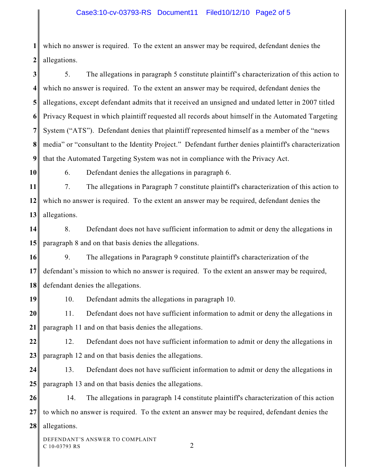**1 2** which no answer is required. To the extent an answer may be required, defendant denies the allegations.

**3 4 5 6 7 8 9** 5. The allegations in paragraph 5 constitute plaintiff's characterization of this action to which no answer is required. To the extent an answer may be required, defendant denies the allegations, except defendant admits that it received an unsigned and undated letter in 2007 titled Privacy Request in which plaintiff requested all records about himself in the Automated Targeting System ("ATS"). Defendant denies that plaintiff represented himself as a member of the "news media" or "consultant to the Identity Project." Defendant further denies plaintiff's characterization that the Automated Targeting System was not in compliance with the Privacy Act.

**10**

6. Defendant denies the allegations in paragraph 6.

**11 12 13** 7. The allegations in Paragraph 7 constitute plaintiff's characterization of this action to which no answer is required. To the extent an answer may be required, defendant denies the allegations.

**14 15** 8. Defendant does not have sufficient information to admit or deny the allegations in paragraph 8 and on that basis denies the allegations.

**16 17 18** 9. The allegations in Paragraph 9 constitute plaintiff's characterization of the defendant's mission to which no answer is required. To the extent an answer may be required, defendant denies the allegations.

**19**

10. Defendant admits the allegations in paragraph 10.

**20 21** 11. Defendant does not have sufficient information to admit or deny the allegations in paragraph 11 and on that basis denies the allegations.

**22 23** 12. Defendant does not have sufficient information to admit or deny the allegations in paragraph 12 and on that basis denies the allegations.

**24 25** 13. Defendant does not have sufficient information to admit or deny the allegations in paragraph 13 and on that basis denies the allegations.

**26 27 28** 14. The allegations in paragraph 14 constitute plaintiff's characterization of this action to which no answer is required. To the extent an answer may be required, defendant denies the allegations.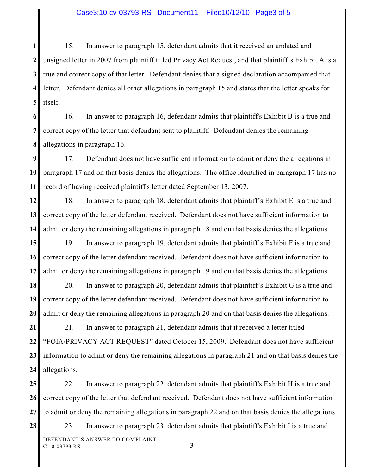**1 2 3 4 5** 15. In answer to paragraph 15, defendant admits that it received an undated and unsigned letter in 2007 from plaintiff titled Privacy Act Request, and that plaintiff's Exhibit A is a true and correct copy of that letter. Defendant denies that a signed declaration accompanied that letter. Defendant denies all other allegations in paragraph 15 and states that the letter speaks for itself.

**6 7 8** 16. In answer to paragraph 16, defendant admits that plaintiff's Exhibit B is a true and correct copy of the letter that defendant sent to plaintiff. Defendant denies the remaining allegations in paragraph 16.

**9 10 11** 17. Defendant does not have sufficient information to admit or deny the allegations in paragraph 17 and on that basis denies the allegations. The office identified in paragraph 17 has no record of having received plaintiff's letter dated September 13, 2007.

**12 13 14** 18. In answer to paragraph 18, defendant admits that plaintiff's Exhibit E is a true and correct copy of the letter defendant received. Defendant does not have sufficient information to admit or deny the remaining allegations in paragraph 18 and on that basis denies the allegations.

**15 16 17** 19. In answer to paragraph 19, defendant admits that plaintiff's Exhibit F is a true and correct copy of the letter defendant received. Defendant does not have sufficient information to admit or deny the remaining allegations in paragraph 19 and on that basis denies the allegations.

**18 19 20** 20. In answer to paragraph 20, defendant admits that plaintiff's Exhibit G is a true and correct copy of the letter defendant received. Defendant does not have sufficient information to admit or deny the remaining allegations in paragraph 20 and on that basis denies the allegations.

**21 22 23 24** 21. In answer to paragraph 21, defendant admits that it received a letter titled "FOIA/PRIVACY ACT REQUEST" dated October 15, 2009. Defendant does not have sufficient information to admit or deny the remaining allegations in paragraph 21 and on that basis denies the allegations.

**25 26 27** 22. In answer to paragraph 22, defendant admits that plaintiff's Exhibit H is a true and correct copy of the letter that defendant received. Defendant does not have sufficient information to admit or deny the remaining allegations in paragraph 22 and on that basis denies the allegations.

23. In answer to paragraph 23, defendant admits that plaintiff's Exhibit I is a true and DEFENDANT'S ANSWER TO COMPLAINT

**28**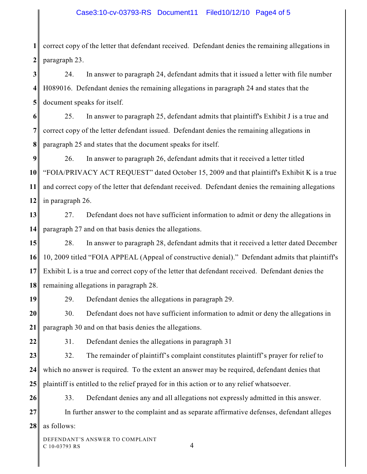**1 2** correct copy of the letter that defendant received. Defendant denies the remaining allegations in paragraph 23.

**3 4 5** 24. In answer to paragraph 24, defendant admits that it issued a letter with file number H089016. Defendant denies the remaining allegations in paragraph 24 and states that the document speaks for itself.

**6 7 8** 25. In answer to paragraph 25, defendant admits that plaintiff's Exhibit J is a true and correct copy of the letter defendant issued. Defendant denies the remaining allegations in paragraph 25 and states that the document speaks for itself.

**9 10 11 12** 26. In answer to paragraph 26, defendant admits that it received a letter titled "FOIA/PRIVACY ACT REQUEST" dated October 15, 2009 and that plaintiff's Exhibit K is a true and correct copy of the letter that defendant received. Defendant denies the remaining allegations in paragraph 26.

**13 14** 27. Defendant does not have sufficient information to admit or deny the allegations in paragraph 27 and on that basis denies the allegations.

**15 16 17 18** 28. In answer to paragraph 28, defendant admits that it received a letter dated December 10, 2009 titled "FOIA APPEAL (Appeal of constructive denial)." Defendant admits that plaintiff's Exhibit L is a true and correct copy of the letter that defendant received. Defendant denies the remaining allegations in paragraph 28.

**19**

29. Defendant denies the allegations in paragraph 29.

**20 21** 30. Defendant does not have sufficient information to admit or deny the allegations in paragraph 30 and on that basis denies the allegations.

**22**

**26**

**27**

31. Defendant denies the allegations in paragraph 31

**23 24 25** 32. The remainder of plaintiff's complaint constitutes plaintiff's prayer for relief to which no answer is required. To the extent an answer may be required, defendant denies that plaintiff is entitled to the relief prayed for in this action or to any relief whatsoever.

33. Defendant denies any and all allegations not expressly admitted in this answer.

In further answer to the complaint and as separate affirmative defenses, defendant alleges

**28** as follows: